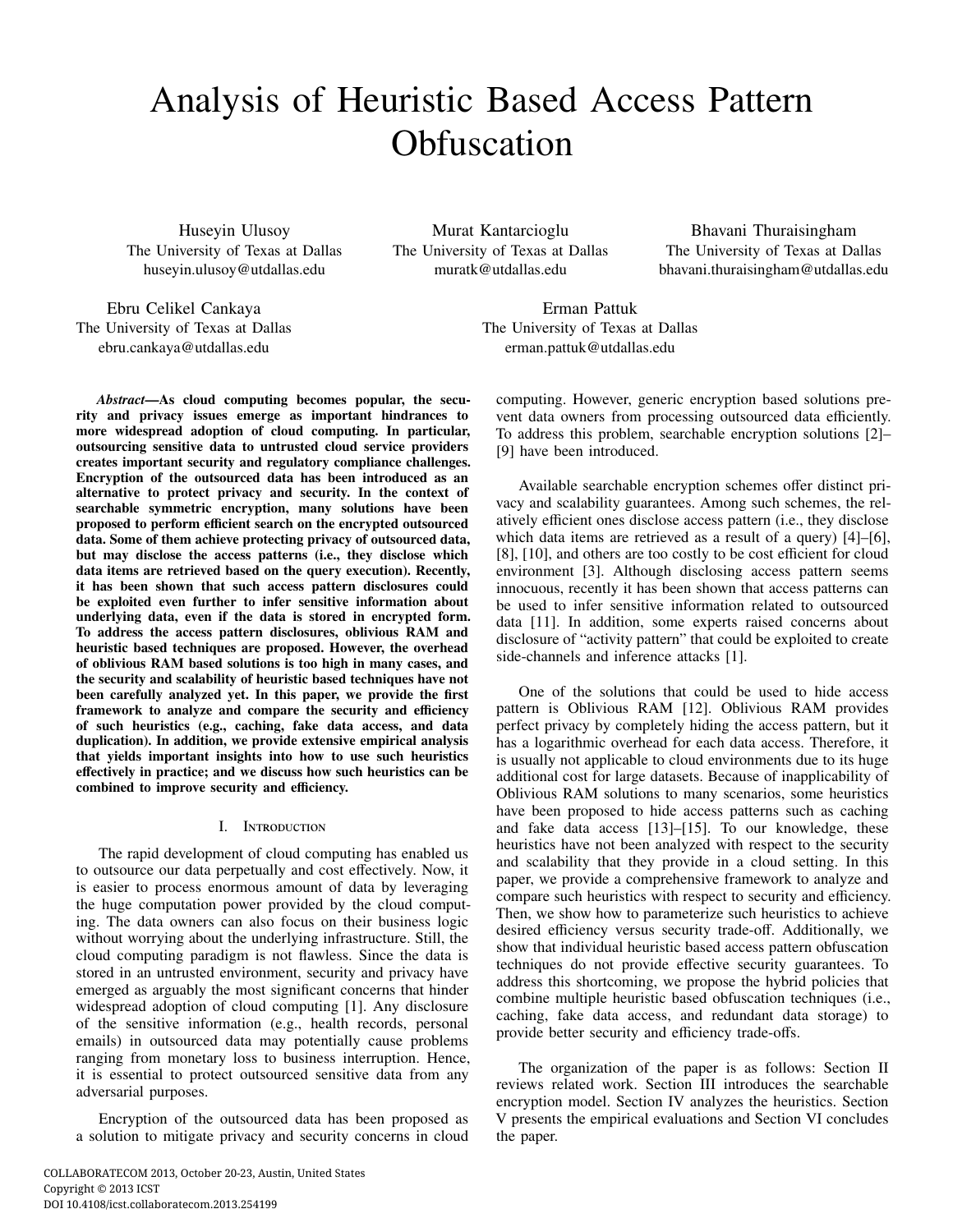# Analysis of Heuristic Based Access Pattern **Obfuscation**

Huseyin Ulusoy The University of Texas at Dallas huseyin.ulusoy@utdallas.edu

Murat Kantarcioglu The University of Texas at Dallas muratk@utdallas.edu

Bhavani Thuraisingham The University of Texas at Dallas bhavani.thuraisingham@utdallas.edu

Ebru Celikel Cankaya The University of Texas at Dallas ebru.cankaya@utdallas.edu

Erman Pattuk The University of Texas at Dallas erman.pattuk@utdallas.edu

*Abstract*—As cloud computing becomes popular, the security and privacy issues emerge as important hindrances to more widespread adoption of cloud computing. In particular, outsourcing sensitive data to untrusted cloud service providers creates important security and regulatory compliance challenges. Encryption of the outsourced data has been introduced as an alternative to protect privacy and security. In the context of searchable symmetric encryption, many solutions have been proposed to perform efficient search on the encrypted outsourced data. Some of them achieve protecting privacy of outsourced data, but may disclose the access patterns (i.e., they disclose which data items are retrieved based on the query execution). Recently, it has been shown that such access pattern disclosures could be exploited even further to infer sensitive information about underlying data, even if the data is stored in encrypted form. To address the access pattern disclosures, oblivious RAM and heuristic based techniques are proposed. However, the overhead of oblivious RAM based solutions is too high in many cases, and the security and scalability of heuristic based techniques have not been carefully analyzed yet. In this paper, we provide the first framework to analyze and compare the security and efficiency of such heuristics (e.g., caching, fake data access, and data duplication). In addition, we provide extensive empirical analysis that yields important insights into how to use such heuristics effectively in practice; and we discuss how such heuristics can be combined to improve security and efficiency.

# I. Introduction

The rapid development of cloud computing has enabled us to outsource our data perpetually and cost effectively. Now, it is easier to process enormous amount of data by leveraging the huge computation power provided by the cloud computing. The data owners can also focus on their business logic without worrying about the underlying infrastructure. Still, the cloud computing paradigm is not flawless. Since the data is stored in an untrusted environment, security and privacy have emerged as arguably the most significant concerns that hinder widespread adoption of cloud computing [1]. Any disclosure of the sensitive information (e.g., health records, personal emails) in outsourced data may potentially cause problems ranging from monetary loss to business interruption. Hence, it is essential to protect outsourced sensitive data from any adversarial purposes.

Encryption of the outsourced data has been proposed as a solution to mitigate privacy and security concerns in cloud vent data owners from processing outsourced data efficiently. To address this problem, searchable encryption solutions [2]– [9] have been introduced. Available searchable encryption schemes offer distinct privacy and scalability guarantees. Among such schemes, the relatively efficient ones disclose access pattern (i.e., they disclose which data items are retrieved as a result of a query) [4]–[6], [8], [10], and others are too costly to be cost efficient for cloud environment [3]. Although disclosing access pattern seems innocuous, recently it has been shown that access patterns can be used to infer sensitive information related to outsourced data [11]. In addition, some experts raised concerns about

disclosure of "activity pattern" that could be exploited to create

side-channels and inference attacks [1].

computing. However, generic encryption based solutions pre-

One of the solutions that could be used to hide access pattern is Oblivious RAM [12]. Oblivious RAM provides perfect privacy by completely hiding the access pattern, but it has a logarithmic overhead for each data access. Therefore, it is usually not applicable to cloud environments due to its huge additional cost for large datasets. Because of inapplicability of Oblivious RAM solutions to many scenarios, some heuristics have been proposed to hide access patterns such as caching and fake data access [13]–[15]. To our knowledge, these heuristics have not been analyzed with respect to the security and scalability that they provide in a cloud setting. In this paper, we provide a comprehensive framework to analyze and compare such heuristics with respect to security and efficiency. Then, we show how to parameterize such heuristics to achieve desired efficiency versus security trade-off. Additionally, we show that individual heuristic based access pattern obfuscation techniques do not provide effective security guarantees. To address this shortcoming, we propose the hybrid policies that combine multiple heuristic based obfuscation techniques (i.e., caching, fake data access, and redundant data storage) to provide better security and efficiency trade-offs.

The organization of the paper is as follows: Section II reviews related work. Section III introduces the searchable encryption model. Section IV analyzes the heuristics. Section V presents the empirical evaluations and Section VI concludes the paper.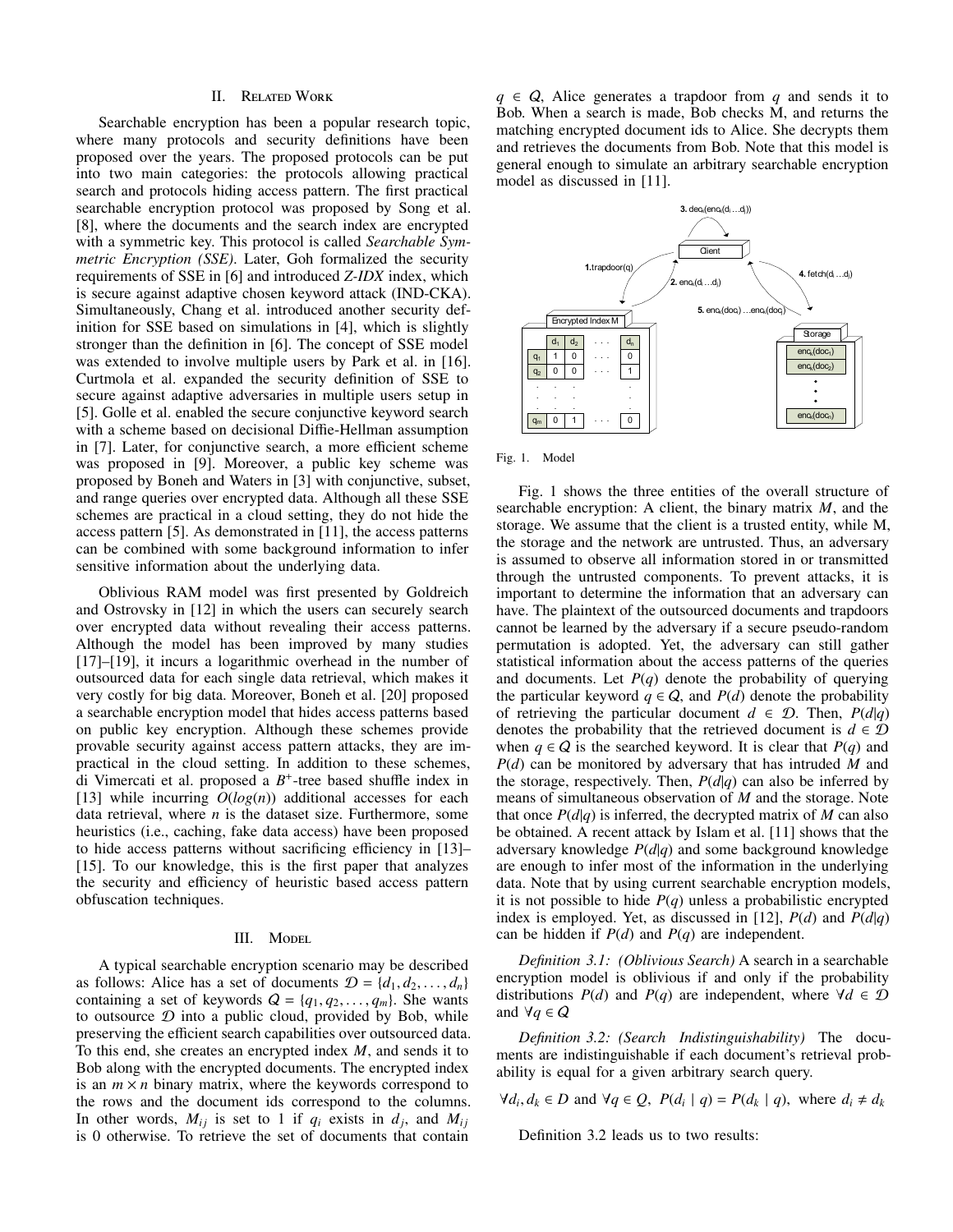## II. Related Work

Searchable encryption has been a popular research topic, where many protocols and security definitions have been proposed over the years. The proposed protocols can be put into two main categories: the protocols allowing practical search and protocols hiding access pattern. The first practical searchable encryption protocol was proposed by Song et al. [8], where the documents and the search index are encrypted with a symmetric key. This protocol is called *Searchable Symmetric Encryption (SSE)*. Later, Goh formalized the security requirements of SSE in [6] and introduced *Z-IDX* index, which is secure against adaptive chosen keyword attack (IND-CKA). Simultaneously, Chang et al. introduced another security definition for SSE based on simulations in [4], which is slightly stronger than the definition in [6]. The concept of SSE model was extended to involve multiple users by Park et al. in [16]. Curtmola et al. expanded the security definition of SSE to secure against adaptive adversaries in multiple users setup in [5]. Golle et al. enabled the secure conjunctive keyword search with a scheme based on decisional Diffie-Hellman assumption in [7]. Later, for conjunctive search, a more efficient scheme was proposed in [9]. Moreover, a public key scheme was proposed by Boneh and Waters in [3] with conjunctive, subset, and range queries over encrypted data. Although all these SSE schemes are practical in a cloud setting, they do not hide the access pattern [5]. As demonstrated in [11], the access patterns can be combined with some background information to infer sensitive information about the underlying data.

Oblivious RAM model was first presented by Goldreich and Ostrovsky in [12] in which the users can securely search over encrypted data without revealing their access patterns. Although the model has been improved by many studies [17]–[19], it incurs a logarithmic overhead in the number of outsourced data for each single data retrieval, which makes it very costly for big data. Moreover, Boneh et al. [20] proposed a searchable encryption model that hides access patterns based on public key encryption. Although these schemes provide provable security against access pattern attacks, they are impractical in the cloud setting. In addition to these schemes, di Vimercati et al. proposed a *B* + -tree based shuffle index in [13] while incurring *O*(*log*(*n*)) additional accesses for each data retrieval, where *n* is the dataset size. Furthermore, some heuristics (i.e., caching, fake data access) have been proposed to hide access patterns without sacrificing efficiency in [13]– [15]. To our knowledge, this is the first paper that analyzes the security and efficiency of heuristic based access pattern obfuscation techniques.

### III. Model

A typical searchable encryption scenario may be described as follows: Alice has a set of documents  $\mathcal{D} = \{d_1, d_2, \ldots, d_n\}$ containing a set of keywords  $Q = \{q_1, q_2, \ldots, q_m\}$ . She wants to outsource  $D$  into a public cloud, provided by Bob, while preserving the efficient search capabilities over outsourced data. To this end, she creates an encrypted index *M*, and sends it to Bob along with the encrypted documents. The encrypted index is an  $m \times n$  binary matrix, where the keywords correspond to the rows and the document ids correspond to the columns. In other words,  $M_{ij}$  is set to 1 if  $q_i$  exists in  $d_j$ , and  $M_{ij}$ is 0 otherwise. To retrieve the set of documents that contain

 $q \in Q$ , Alice generates a trapdoor from *q* and sends it to Bob. When a search is made, Bob checks M, and returns the matching encrypted document ids to Alice. She decrypts them and retrieves the documents from Bob. Note that this model is general enough to simulate an arbitrary searchable encryption model as discussed in [11].



Fig. 1. Model

Fig. 1 shows the three entities of the overall structure of searchable encryption: A client, the binary matrix *M*, and the storage. We assume that the client is a trusted entity, while M, the storage and the network are untrusted. Thus, an adversary is assumed to observe all information stored in or transmitted through the untrusted components. To prevent attacks, it is important to determine the information that an adversary can have. The plaintext of the outsourced documents and trapdoors cannot be learned by the adversary if a secure pseudo-random permutation is adopted. Yet, the adversary can still gather statistical information about the access patterns of the queries and documents. Let  $P(q)$  denote the probability of querying the particular keyword  $q \in Q$ , and  $P(d)$  denote the probability of retrieving the particular document  $d \in \mathcal{D}$ . Then,  $P(d|q)$ denotes the probability that the retrieved document is  $d \in \mathcal{D}$ when  $q \in Q$  is the searched keyword. It is clear that  $P(q)$  and *P*(*d*) can be monitored by adversary that has intruded *M* and the storage, respectively. Then,  $P(d|q)$  can also be inferred by means of simultaneous observation of *M* and the storage. Note that once  $P(d|q)$  is inferred, the decrypted matrix of M can also be obtained. A recent attack by Islam et al. [11] shows that the adversary knowledge *P*(*d*|*q*) and some background knowledge are enough to infer most of the information in the underlying data. Note that by using current searchable encryption models, it is not possible to hide  $P(q)$  unless a probabilistic encrypted index is employed. Yet, as discussed in [12],  $P(d)$  and  $P(d|q)$ can be hidden if *P*(*d*) and *P*(*q*) are independent.

*Definition 3.1: (Oblivious Search)* A search in a searchable encryption model is oblivious if and only if the probability distributions  $P(d)$  and  $P(q)$  are independent, where  $\forall d \in \mathcal{D}$ and  $\forall q \in Q$ 

*Definition 3.2: (Search Indistinguishability)* The documents are indistinguishable if each document's retrieval probability is equal for a given arbitrary search query.

 $\forall d_i, d_k \in D$  and  $\forall q \in Q$ ,  $P(d_i | q) = P(d_k | q)$ , where  $d_i \neq d_k$ 

Definition 3.2 leads us to two results: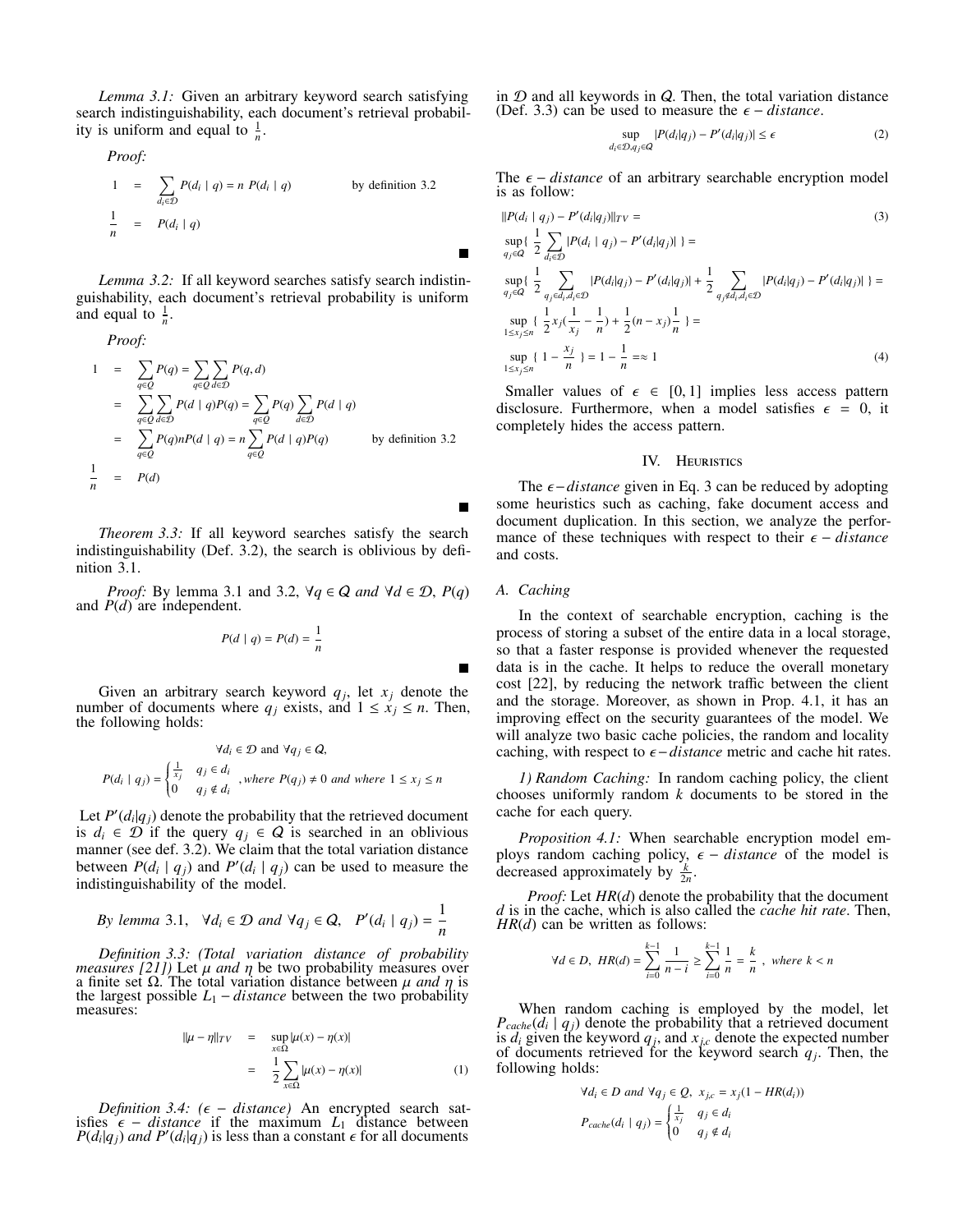*Lemma 3.1:* Given an arbitrary keyword search satisfying search indistinguishability, each document's retrieval probability is uniform and equal to  $\frac{1}{n}$ .

*Proof:*

*Proof:*  
\n
$$
1 = \sum_{d_i \in \mathcal{D}} P(d_i \mid q) = n P(d_i \mid q)
$$
\nby definition 3.2  
\n
$$
\frac{1}{n} = P(d_i \mid q)
$$

*Lemma 3.2:* If all keyword searches satisfy search indistinguishability, each document's retrieval probability is uniform and equal to  $\frac{1}{n}$ .

Proof:  
\n
$$
1 = \sum_{q \in Q} P(q) = \sum_{q \in Q} \sum_{d \in D} P(q, d)
$$
\n
$$
= \sum_{q \in Q} \sum_{d \in D} P(d \mid q)P(q) = \sum_{q \in Q} P(q) \sum_{d \in D} P(d \mid q)
$$
\n
$$
= \sum_{q \in Q} P(q)nP(d \mid q) = n \sum_{q \in Q} P(d \mid q)P(q) \qquad \text{by definition 3.2}
$$
\n
$$
\frac{1}{n} = P(d)
$$

*Theorem 3.3:* If all keyword searches satisfy the search indistinguishability (Def. 3.2), the search is oblivious by definition 3.1.

*Proof:* By lemma 3.1 and 3.2,  $\forall q \in Q$  *and*  $\forall d \in \mathcal{D}$ ,  $P(q)$ and  $P(d)$  are independent.

$$
P(d \mid q) = P(d) = \frac{1}{n}
$$

Given an arbitrary search keyword  $q_j$ , let  $x_j$  denote the number of documents where  $q_i$  exists, and  $1 \le x_i \le n$ . Then, the following holds:

$$
\forall d_i \in \mathcal{D} \text{ and } \forall q_j \in Q,
$$
  

$$
P(d_i \mid q_j) = \begin{cases} \frac{1}{x_j} & q_j \in d_i \\ 0 & q_j \notin d_i \end{cases}, where P(q_j) \neq 0 and where 1 \le x_j \le n
$$

Let  $P'(d_i|q_j)$  denote the probability that the retrieved document is  $d_i \in \mathcal{D}$  if the query  $q_i \in \mathcal{Q}$  is searched in an oblivious manner (see def. 3.2). We claim that the total variation distance between  $P(d_i | q_j)$  and  $P'(d_i | q_j)$  can be used to measure the indistinguishability of the model.

By lemma 3.1, 
$$
\forall d_i \in \mathcal{D}
$$
 and  $\forall q_j \in Q$ ,  $P'(d_i \mid q_j) = \frac{1}{n}$ 

*Definition 3.3: (Total variation distance of probability measures [21])* Let  $\mu$  *and*  $\eta$  be two probability measures over a finite set  $\Omega$ . The total variation distance between  $\mu$  *and*  $\eta$  is the largest possible  $L_1 - distance$  between the two probability measures:

$$
\|\mu - \eta\|_{TV} = \sup_{x \in \Omega} |\mu(x) - \eta(x)|
$$
  
= 
$$
\frac{1}{2} \sum_{x \in \Omega} |\mu(x) - \eta(x)|
$$
 (1)

*Definition 3.4: (*ϵ − *distance)* An encrypted search satisfies  $\epsilon$  – *distance* if the maximum  $L_1$  distance between  $P(d_i|q_j)$  *and P'* $(d_i|q_j)$  is less than a constant  $\epsilon$  for all documents

in  $D$  and all keywords in  $Q$ . Then, the total variation distance (Def. 3.3) can be used to measure the  $\epsilon$  – *distance*.

$$
\sup_{d_i \in \mathcal{D}, q_j \in \mathcal{Q}} |P(d_i|q_j) - P'(d_i|q_j)| \le \epsilon \tag{2}
$$

The  $\epsilon$  – *distance* of an arbitrary searchable encryption model is as follow:

$$
||P(d_i | q_j) - P'(d_i | q_j)||_{TV} =
$$
\n
$$
\sup_{q_j \in Q} \{ \frac{1}{2} \sum_{d_i \in D} |P(d_i | q_j) - P'(d_i | q_j)| \} =
$$
\n
$$
\sup_{q_j \in Q} \{ \frac{1}{2} \sum_{q_j \in d_i, d_i \in D} |P(d_i | q_j) - P'(d_i | q_j)| + \frac{1}{2} \sum_{q_j \notin d_i, d_i \in D} |P(d_i | q_j) - P'(d_i | q_j)| \} =
$$
\n
$$
\sup_{1 \le x_j \le n} \{ \frac{1}{2} x_j (\frac{1}{x_j} - \frac{1}{n}) + \frac{1}{2} (n - x_j) \frac{1}{n} \} =
$$
\n
$$
\sup_{1 \le x_j \le n} \{ 1 - \frac{x_j}{n} \} = 1 - \frac{1}{n} = \approx 1
$$
\n(4)

Smaller values of  $\epsilon \in [0, 1]$  implies less access pattern disclosure. Furthermore, when a model satisfies  $\epsilon = 0$ , it completely hides the access pattern.

#### IV. Heuristics

The  $\epsilon$ −*distance* given in Eq. 3 can be reduced by adopting some heuristics such as caching, fake document access and document duplication. In this section, we analyze the performance of these techniques with respect to their  $\epsilon$  – *distance* and costs.

## *A. Caching*

In the context of searchable encryption, caching is the process of storing a subset of the entire data in a local storage, so that a faster response is provided whenever the requested data is in the cache. It helps to reduce the overall monetary cost [22], by reducing the network traffic between the client and the storage. Moreover, as shown in Prop. 4.1, it has an improving effect on the security guarantees of the model. We will analyze two basic cache policies, the random and locality caching, with respect to  $\epsilon$  – *distance* metric and cache hit rates.

*1) Random Caching:* In random caching policy, the client chooses uniformly random *k* documents to be stored in the cache for each query.

*Proposition 4.1:* When searchable encryption model employs random caching policy,  $\epsilon$  – *distance* of the model is decreased approximately by  $\frac{k}{2n}$ .

*Proof:* Let *HR*(*d*) denote the probability that the document *d* is in the cache, which is also called the *cache hit rate*. Then, *HR*(*d*) can be written as follows:

$$
\forall d \in D, \ HR(d) = \sum_{i=0}^{k-1} \frac{1}{n-i} \ge \sum_{i=0}^{k-1} \frac{1}{n} = \frac{k}{n}, \ where \ k < n
$$

When random caching is employed by the model, let  $P_{cache}(d_i | q_j)$  denote the probability that a retrieved document is  $d_i$  given the keyword  $q_j$ , and  $x_{j,c}$  denote the expected number of documents retrieved for the keyword search  $q_j$ . Then, the following holds:

$$
\forall d_i \in D \text{ and } \forall q_j \in Q, \ x_{j,c} = x_j(1 - HR(d_i))
$$

$$
P_{cache}(d_i \mid q_j) = \begin{cases} \frac{1}{x_j} & q_j \in d_i \\ 0 & q_j \notin d_i \end{cases}
$$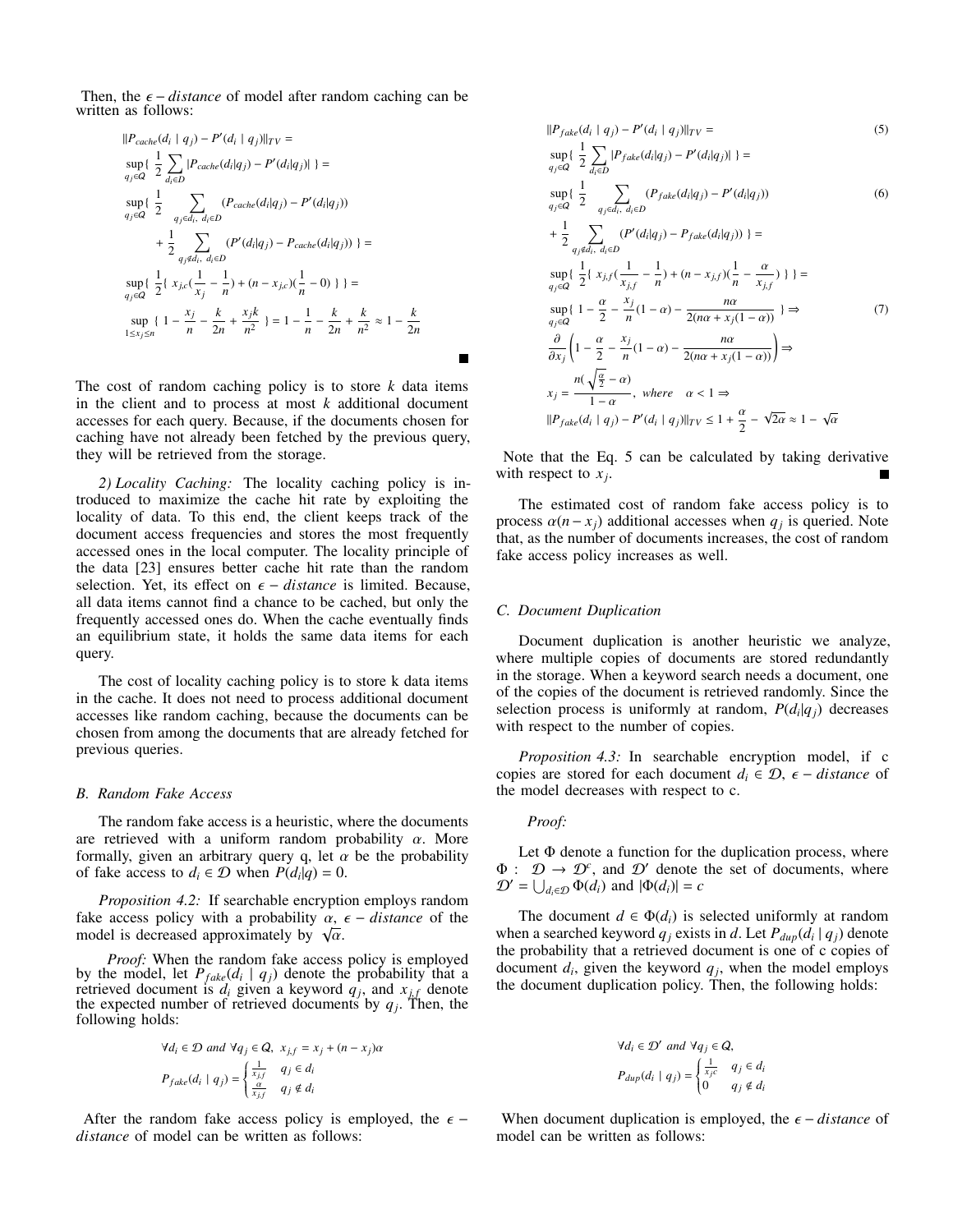Then, the  $\epsilon$  – *distance* of model after random caching can be written as follows:

$$
||P_{cache}(d_i | q_j) - P'(d_i | q_j)||_{TV} =
$$
  
\n
$$
\sup_{q_j \in \mathcal{Q}} \left\{ \frac{1}{2} \sum_{d_i \in D} |P_{cache}(d_i|q_j) - P'(d_i|q_j)| \right\} =
$$
  
\n
$$
\sup_{q_j \in \mathcal{Q}} \left\{ \frac{1}{2} \sum_{q_j \in d_i, d_i \in D} (P_{cache}(d_i|q_j) - P'(d_i|q_j)) \right\}
$$
  
\n
$$
+ \frac{1}{2} \sum_{q_j \notin d_i, d_i \in D} (P'(d_i|q_j) - P_{cache}(d_i|q_j)) \right\} =
$$
  
\n
$$
\sup_{q_j \in \mathcal{Q}} \left\{ \frac{1}{2} \{ x_{j,c} (\frac{1}{x_j} - \frac{1}{n}) + (n - x_{j,c}) (\frac{1}{n} - 0) \} \right\} =
$$
  
\n
$$
\sup_{1 \le x_j \le n} \left\{ 1 - \frac{x_j}{n} - \frac{k}{2n} + \frac{x_j k}{n^2} \right\} = 1 - \frac{1}{n} - \frac{k}{2n} + \frac{k}{n^2} \approx 1 - \frac{k}{2n}
$$

The cost of random caching policy is to store  $k$  data items in the client and to process at most *k* additional document accesses for each query. Because, if the documents chosen for caching have not already been fetched by the previous query, they will be retrieved from the storage.

*2) Locality Caching:* The locality caching policy is introduced to maximize the cache hit rate by exploiting the locality of data. To this end, the client keeps track of the document access frequencies and stores the most frequently accessed ones in the local computer. The locality principle of the data [23] ensures better cache hit rate than the random selection. Yet, its effect on  $\epsilon$  – *distance* is limited. Because, all data items cannot find a chance to be cached, but only the frequently accessed ones do. When the cache eventually finds an equilibrium state, it holds the same data items for each query.

The cost of locality caching policy is to store k data items in the cache. It does not need to process additional document accesses like random caching, because the documents can be chosen from among the documents that are already fetched for previous queries.

## *B. Random Fake Access*

The random fake access is a heuristic, where the documents are retrieved with a uniform random probability  $\alpha$ . More formally, given an arbitrary query q, let  $\alpha$  be the probability of fake access to  $d_i \in \mathcal{D}$  when  $P(d_i|q) = 0$ .

*Proposition 4.2:* If searchable encryption employs random fake access policy with a probability  $\alpha$ ,  $\epsilon$  – *distance* of the rake access policy with a probability  $\alpha$ , model is decreased approximately by  $\sqrt{\alpha}$ .

*Proof:* When the random fake access policy is employed by the model, let  $P_{fake}(d_i \mid q_j)$  denote the probability that a retrieved document is  $d_i$  given a keyword  $q_j$ , and  $x_{j,f}$  denote the expected number of retrieved documents by  $q_j$ . Then, the following holds:

$$
\forall d_i \in \mathcal{D} \text{ and } \forall q_j \in \mathcal{Q}, \ x_{j,f} = x_j + (n - x_j)\alpha
$$
\n
$$
P_{fake}(d_i \mid q_j) = \begin{cases} \frac{1}{x_{j,f}} & q_j \in d_i \\ \frac{\alpha}{x_{j,f}} & q_j \notin d_i \end{cases}
$$

After the random fake access policy is employed, the  $\epsilon$  − *distance* of model can be written as follows:

$$
||P_{fake}(d_i | q_j) - P'(d_i | q_j)||_{TV} =
$$
\n
$$
\sup_{q_j \in Q} \{ \frac{1}{2} \sum_{d_i \in D} |P_{fake}(d_i|q_j) - P'(d_i|q_j)| \} =
$$
\n
$$
\sup_{q_j \in Q} \{ \frac{1}{2} \sum_{q_j \in d_i, d_i \in D} (P_{fake}(d_i|q_j) - P'(d_i|q_j))
$$
\n
$$
+ \frac{1}{2} \sum_{q_j \in d_i, d_i \in D} (P'(d_i|q_j) - P_{fake}(d_i|q_j)) \} =
$$
\n
$$
\sup_{q_j \in Q} \{ \frac{1}{2} \{ x_{j,f} (\frac{1}{x_{j,f}} - \frac{1}{n}) + (n - x_{j,f})(\frac{1}{n} - \frac{\alpha}{x_{j,f}}) \} \} =
$$
\n
$$
\sup_{q_j \in Q} \{ 1 - \frac{\alpha}{2} - \frac{x_j}{n} (1 - \alpha) - \frac{n\alpha}{2(n\alpha + x_j(1 - \alpha))} \} \Rightarrow
$$
\n
$$
\frac{\partial}{\partial x_j} \left( 1 - \frac{\alpha}{2} - \frac{x_j}{n} (1 - \alpha) - \frac{n\alpha}{2(n\alpha + x_j(1 - \alpha))} \right) \Rightarrow
$$
\n
$$
x_j = \frac{n(\sqrt{\frac{\alpha}{2}} - \alpha)}{1 - \alpha}, \text{ where } \alpha < 1 \Rightarrow
$$
\n
$$
||P_{fake}(d_i | q_j) - P'(d_i | q_j)||_{TV} \le 1 + \frac{\alpha}{2} - \sqrt{2\alpha} \approx 1 - \sqrt{\alpha}
$$

Note that the Eq. 5 can be calculated by taking derivative with respect to  $x_j$ .

The estimated cost of random fake access policy is to process  $\alpha(n - x_j)$  additional accesses when  $q_j$  is queried. Note that, as the number of documents increases, the cost of random fake access policy increases as well.

## *C. Document Duplication*

Document duplication is another heuristic we analyze, where multiple copies of documents are stored redundantly in the storage. When a keyword search needs a document, one of the copies of the document is retrieved randomly. Since the selection process is uniformly at random,  $P(d_i|q_j)$  decreases with respect to the number of copies.

*Proposition 4.3:* In searchable encryption model, if c copies are stored for each document  $d_i \in \mathcal{D}$ ,  $\epsilon$  – *distance* of the model decreases with respect to c.

# *Proof:*

Let  $\Phi$  denote a function for the duplication process, where  $\Phi: \mathcal{D} \to \mathcal{D}^c$ , and  $\mathcal{D}'$  denote the set of documents, where  $\mathcal{D}' = \bigcup_{d_i \in \mathcal{D}} \Phi(d_i)$  and  $|\Phi(d_i)| = c$ 

The document  $d \in \Phi(d_i)$  is selected uniformly at random when a searched keyword  $q_j$  exists in *d*. Let  $P_{dup}(d_i | q_j)$  denote the probability that a retrieved document is one of c copies of document  $d_i$ , given the keyword  $q_j$ , when the model employs the document duplication policy. Then, the following holds:

$$
\forall d_i \in \mathcal{D}' \text{ and } \forall q_j \in \mathcal{Q},
$$
  

$$
P_{dup}(d_i \mid q_j) = \begin{cases} \frac{1}{x_j c} & q_j \in d_i \\ 0 & q_j \notin d_i \end{cases}
$$

When document duplication is employed, the  $\epsilon$  – *distance* of model can be written as follows: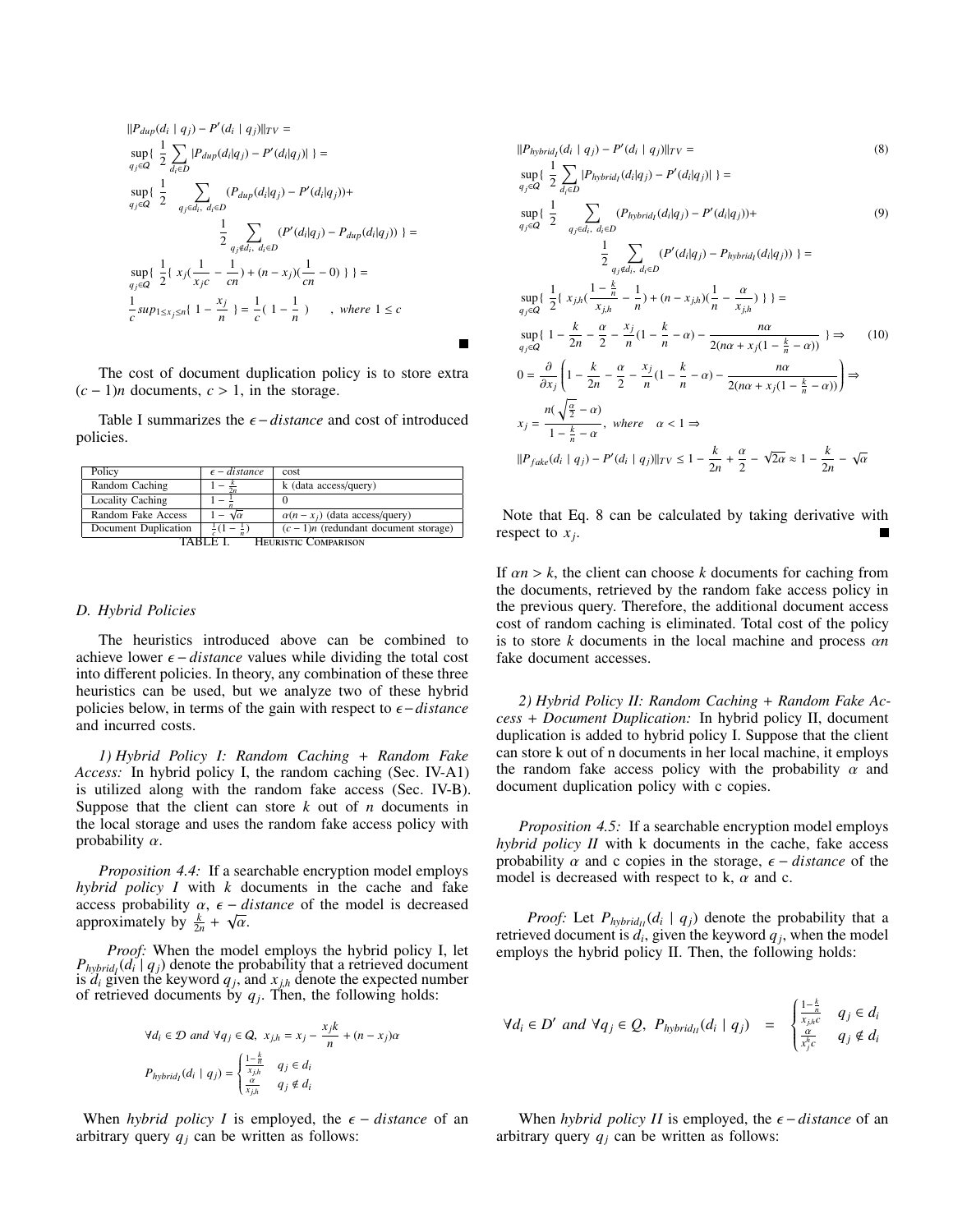$$
||P_{dup}(d_i | q_j) - P'(d_i | q_j)||_{TV} =
$$
  
\n
$$
\sup_{q_j \in Q} \{\frac{1}{2} \sum_{d_i \in D} |P_{dup}(d_i|q_j) - P'(d_i|q_j)|\} =
$$
  
\n
$$
\sup_{q_j \in Q} \{\frac{1}{2} \sum_{q_j \in d_i, d_i \in D} (P_{dup}(d_i|q_j) - P'(d_i|q_j)) +
$$
  
\n
$$
\frac{1}{2} \sum_{q_j \notin d_i, d_i \in D} (P'(d_i|q_j) - P_{dup}(d_i|q_j))\} =
$$
  
\n
$$
\sup_{q_j \in Q} \{\frac{1}{2} \{\ x_j(\frac{1}{x_jc} - \frac{1}{cn}) + (n - x_j)(\frac{1}{cn} - 0) \}\} =
$$
  
\n
$$
\frac{1}{c} sup_{1 \le x_j \le n} \{ 1 - \frac{x_j}{n} \} = \frac{1}{c} (1 - \frac{1}{n}) \qquad , where 1 \le c
$$

The cost of document duplication policy is to store extra  $(c-1)n$  documents,  $c > 1$ , in the storage.

 $\blacksquare$ 

Table I summarizes the ϵ −*distance* and cost of introduced policies.

| Policy                           | $\epsilon$ – distance | cost                                  |
|----------------------------------|-----------------------|---------------------------------------|
| Random Caching                   |                       | k (data access/query)                 |
| <b>Locality Caching</b>          |                       |                                       |
| Random Fake Access               | $-\sqrt{\alpha}$      | $\alpha(n-x_i)$ (data access/query)   |
| Document Duplication             | $\pm(1-\pm)$          | $(c-1)n$ (redundant document storage) |
| HEURISTIC COMPARISON<br>TARI E I |                       |                                       |

## *D. Hybrid Policies*

The heuristics introduced above can be combined to achieve lower  $\epsilon$  – *distance* values while dividing the total cost into different policies. In theory, any combination of these three heuristics can be used, but we analyze two of these hybrid policies below, in terms of the gain with respect to ϵ−*distance* and incurred costs.

*1) Hybrid Policy I: Random Caching* + *Random Fake Access:* In hybrid policy I, the random caching (Sec. IV-A1) is utilized along with the random fake access (Sec. IV-B). Suppose that the client can store *k* out of *n* documents in the local storage and uses the random fake access policy with probability  $\alpha$ .

*Proposition 4.4:* If a searchable encryption model employs *hybrid policy I* with *k* documents in the cache and fake access probability  $\alpha$ ,  $\epsilon$  – *distance* of the model is decreased approximately by  $\frac{k}{2n} + \sqrt{\alpha}$ .

*Proof:* When the model employs the hybrid policy I, let  $P_{hybrid}$  (*d*<sup>*i*</sup> | *q*<sub>*j*</sub>) denote the probability that a retrieved document is  $d_i$  given the keyword  $q_j$ , and  $x_{j,h}$  denote the expected number of retrieved documents by  $q_j$ . Then, the following holds:

$$
\forall d_i \in \mathcal{D} \text{ and } \forall q_j \in \mathcal{Q}, \ x_{j,h} = x_j - \frac{x_j k}{n} + (n - x_j)\alpha
$$
\n
$$
P_{hybrid_i}(d_i \mid q_j) = \begin{cases} \frac{1 - \frac{k}{n}}{x_{j,h}} & q_j \in d_i \\ \frac{\alpha}{x_{j,h}} & q_j \notin d_i \end{cases}
$$

When *hybrid policy I* is employed, the  $\epsilon$  – *distance* of an arbitrary query  $q_i$  can be written as follows:

$$
||P_{hybrid_{j}}(d_{i} | q_{j}) - P'(d_{i} | q_{j})||_{TV} =
$$
\n
$$
\sup_{q_{j} \in \mathcal{Q}} \left\{ \frac{1}{2} \sum_{d_{i} \in D} |P_{hybrid_{j}}(d_{i} | q_{j}) - P'(d_{i} | q_{j})| \right\} =
$$
\n
$$
\sup_{q_{j} \in \mathcal{Q}} \left\{ \frac{1}{2} \sum_{q_{j} \in d_{i}, d_{i} \in D} (P_{hybrid_{j}}(d_{i} | q_{j}) - P'(d_{i} | q_{j})) + \frac{1}{2} \sum_{q_{j} \notin d_{i}, d_{i} \in D} (P'(d_{i} | q_{j}) - P_{hybrid_{j}}(d_{i} | q_{j})) \right\} =
$$
\n
$$
\sup_{q_{j} \in \mathcal{Q}} \left\{ \frac{1}{2} \left\{ x_{j,h} \left( \frac{1 - \frac{k}{h}}{x_{j,h}} - \frac{1}{n} \right\} + (n - x_{j,h}) \left( \frac{1}{n} - \frac{\alpha}{x_{j,h}} \right) \right\} \right\} =
$$
\n
$$
\sup_{q_{j} \in \mathcal{Q}} \left\{ 1 - \frac{k}{2n} - \frac{\alpha}{2} - \frac{x_{j}}{n} \left( 1 - \frac{k}{n} - \alpha \right) - \frac{n\alpha}{2(n\alpha + x_{j}(1 - \frac{k}{n} - \alpha))} \right\} \Rightarrow
$$
\n
$$
0 = \frac{\partial}{\partial x_{j}} \left( 1 - \frac{k}{2n} - \frac{\alpha}{2} - \frac{x_{j}}{n} \left( 1 - \frac{k}{n} - \alpha \right) - \frac{n\alpha}{2(n\alpha + x_{j}(1 - \frac{k}{n} - \alpha))} \right) \Rightarrow
$$
\n
$$
x_{j} = \frac{n(\sqrt{\frac{\alpha}{2}} - \alpha)}{1 - \frac{k}{n} - \alpha}, \text{ where } \alpha < 1 \Rightarrow
$$
\n
$$
||P_{fake}(d_{i} | q_{j}) - P'(d_{i} | q_{j})||_{TV} \leq 1 - \frac{k}{2n} + \frac{\alpha}{2} - \sqrt{2\alpha} \approx 1 - \frac{k}{2n} - \sqrt{\alpha}
$$

Note that Eq. 8 can be calculated by taking derivative with respect to *x<sup>j</sup>* .

If  $\alpha n > k$ , the client can choose *k* documents for caching from the documents, retrieved by the random fake access policy in the previous query. Therefore, the additional document access cost of random caching is eliminated. Total cost of the policy is to store *k* documents in the local machine and process α*n* fake document accesses.

*2) Hybrid Policy II: Random Caching* + *Random Fake Access* + *Document Duplication:* In hybrid policy II, document duplication is added to hybrid policy I. Suppose that the client can store k out of n documents in her local machine, it employs the random fake access policy with the probability  $\alpha$  and document duplication policy with c copies.

*Proposition 4.5:* If a searchable encryption model employs *hybrid policy II* with k documents in the cache, fake access probability  $\alpha$  and c copies in the storage,  $\epsilon$  – *distance* of the model is decreased with respect to k,  $\alpha$  and c.

*Proof:* Let  $P_{hybrid_{II}}(d_i | q_j)$  denote the probability that a retrieved document is  $d_i$ , given the keyword  $q_j$ , when the model employs the hybrid policy II. Then, the following holds:

$$
\forall d_i \in D' \text{ and } \forall q_j \in Q, \ P_{hybrid_{II}}(d_i \mid q_j) = \begin{cases} \frac{1-\frac{k}{n}}{x_{j,h}^{\frac{\alpha}{n}}}, & q_j \in d_i \\ \frac{\alpha}{x_j^{\alpha}} & q_j \notin d_i \end{cases}
$$

When *hybrid policy II* is employed, the  $\epsilon$  – *distance* of an arbitrary query  $q_i$  can be written as follows: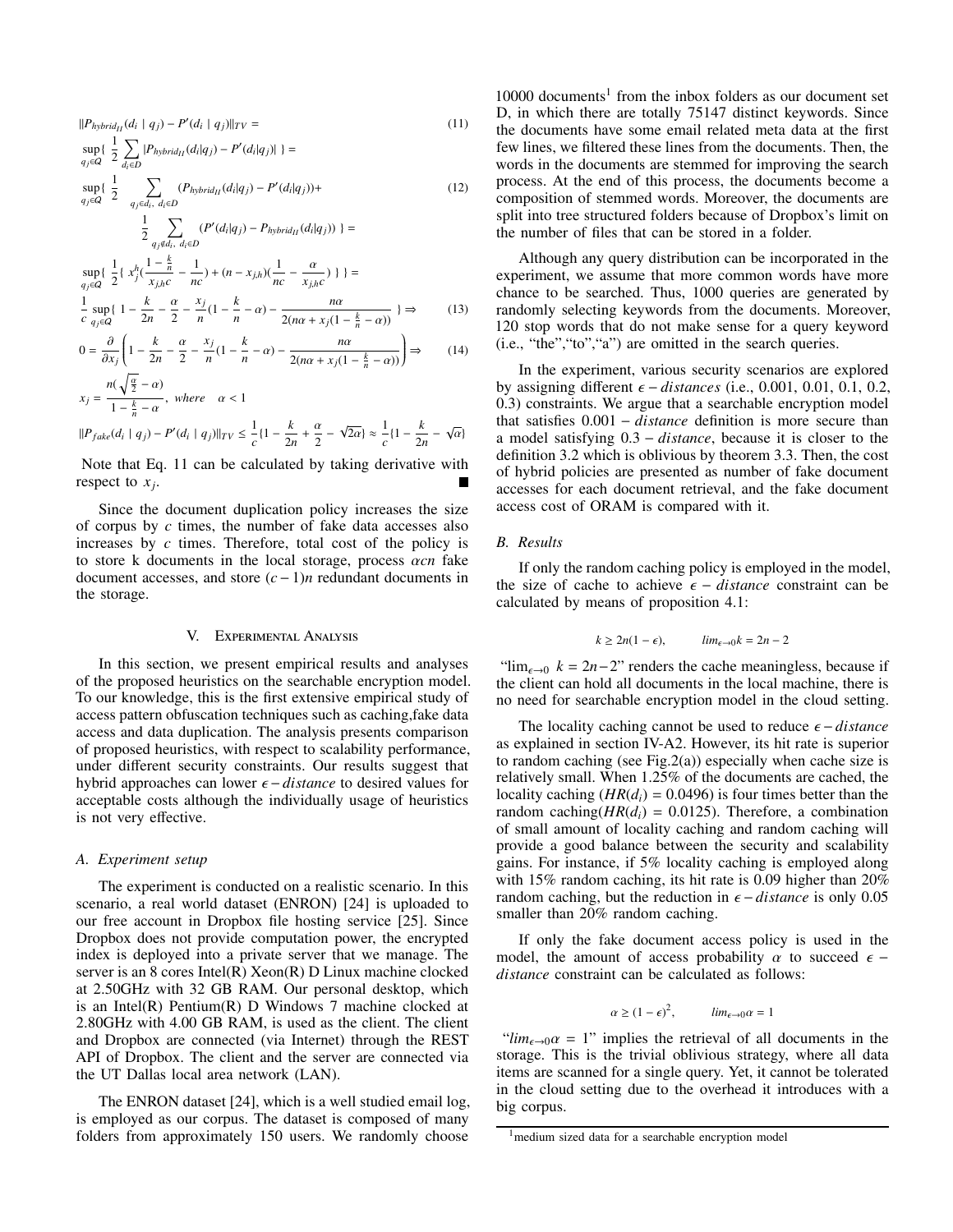$$
||P_{hybrid_{II}}(d_i | q_j) - P'(d_i | q_j)||_{TV} =
$$
\n
$$
\sup_{q_j \in Q} \{\frac{1}{2} \sum_{d_i \in D} |P_{hybrid_{II}}(d_i|q_j) - P'(d_i|q_j)|\} =
$$
\n
$$
\sup_{q_j \in Q} \{\frac{1}{2} \sum_{q_j \in d_i, d_i \in D} (P_{hybrid_{II}}(d_i|q_j) - P'(d_i|q_j)) +
$$
\n
$$
\frac{1}{2} \sum_{q_j \notin d_i, d_i \in D} (P'(d_i|q_j) - P_{hybrid_{II}}(d_i|q_j))\} =
$$
\n
$$
\sup_{d_j \in Q} \{\frac{1}{2} \sum_{d_j \notin d_i, d_i \in D} (P'(d_i|q_j) - P_{hybrid_{II}}(d_i|q_j))\} =
$$

$$
\sup_{q_j \in \mathcal{Q}} \left\{ \frac{1}{2} \left\{ x_j^h \left( \frac{n}{x_{j,h}c} - \frac{1}{nc} \right) + (n - x_{j,h}) \left( \frac{n}{nc} - \frac{\alpha}{x_{j,h}c} \right) \right\} \right\} =
$$
\n
$$
\frac{1}{c} \sup_{q_j \in \mathcal{Q}} \left\{ 1 - \frac{k}{2n} - \frac{\alpha}{2} - \frac{x_j}{n} \left( 1 - \frac{k}{n} - \alpha \right) - \frac{n\alpha}{2(n\alpha + x_j(1 - \frac{k}{n} - \alpha))} \right\} \Rightarrow (13)
$$

$$
0 = \frac{\partial}{\partial x_j} \left( 1 - \frac{k}{2n} - \frac{\alpha}{2} - \frac{x_j}{n} (1 - \frac{k}{n} - \alpha) - \frac{n\alpha}{2(n\alpha + x_j(1 - \frac{k}{n} - \alpha))} \right) \Rightarrow (14)
$$

$$
x_j = \frac{n(\sqrt{\frac{\alpha}{2}} - \alpha)}{1 - \frac{k}{n} - \alpha}, \text{ where } \alpha < 1
$$
  

$$
||P_{fake}(d_i \mid q_j) - P'(d_i \mid q_j)||_{TV} \le \frac{1}{c} \{1 - \frac{k}{2n} + \frac{\alpha}{2} - \sqrt{2\alpha}\} \approx \frac{1}{c} \{1 - \frac{k}{2n} - \sqrt{\alpha}\}
$$

Note that Eq. 11 can be calculated by taking derivative with respect to *x<sup>j</sup>* .

Since the document duplication policy increases the size of corpus by *c* times, the number of fake data accesses also increases by *c* times. Therefore, total cost of the policy is to store k documents in the local storage, process α*cn* fake document accesses, and store (*c*−1)*n* redundant documents in the storage.

## V. Experimental Analysis

In this section, we present empirical results and analyses of the proposed heuristics on the searchable encryption model. To our knowledge, this is the first extensive empirical study of access pattern obfuscation techniques such as caching,fake data access and data duplication. The analysis presents comparison of proposed heuristics, with respect to scalability performance, under different security constraints. Our results suggest that hybrid approaches can lower ϵ −*distance* to desired values for acceptable costs although the individually usage of heuristics is not very effective.

### *A. Experiment setup*

The experiment is conducted on a realistic scenario. In this scenario, a real world dataset (ENRON) [24] is uploaded to our free account in Dropbox file hosting service [25]. Since Dropbox does not provide computation power, the encrypted index is deployed into a private server that we manage. The server is an 8 cores Intel(R) Xeon(R) D Linux machine clocked at 2.50GHz with 32 GB RAM. Our personal desktop, which is an Intel(R) Pentium(R) D Windows 7 machine clocked at 2.80GHz with 4.00 GB RAM, is used as the client. The client and Dropbox are connected (via Internet) through the REST API of Dropbox. The client and the server are connected via the UT Dallas local area network (LAN).

The ENRON dataset [24], which is a well studied email log, is employed as our corpus. The dataset is composed of many folders from approximately 150 users. We randomly choose

 $10000$  documents<sup>1</sup> from the inbox folders as our document set D, in which there are totally 75147 distinct keywords. Since the documents have some email related meta data at the first few lines, we filtered these lines from the documents. Then, the words in the documents are stemmed for improving the search process. At the end of this process, the documents become a composition of stemmed words. Moreover, the documents are split into tree structured folders because of Dropbox's limit on the number of files that can be stored in a folder.

Although any query distribution can be incorporated in the experiment, we assume that more common words have more chance to be searched. Thus, 1000 queries are generated by randomly selecting keywords from the documents. Moreover, 120 stop words that do not make sense for a query keyword (i.e., "the","to","a") are omitted in the search queries.

In the experiment, various security scenarios are explored by assigning different  $\epsilon$  – *distances* (i.e., 0.001, 0.01, 0.1, 0.2, 0.3) constraints. We argue that a searchable encryption model that satisfies 0.001 − *distance* definition is more secure than a model satisfying 0.3 − *distance*, because it is closer to the definition 3.2 which is oblivious by theorem 3.3. Then, the cost of hybrid policies are presented as number of fake document accesses for each document retrieval, and the fake document access cost of ORAM is compared with it.

# *B. Results*

If only the random caching policy is employed in the model, the size of cache to achieve  $\epsilon$  – *distance* constraint can be calculated by means of proposition 4.1:

$$
k \ge 2n(1 - \epsilon), \qquad \lim_{\epsilon \to 0} k = 2n - 2
$$

"lim<sub> $\epsilon \to 0$ </sub>  $k = 2n-2$ " renders the cache meaningless, because if the client can hold all documents in the local machine, there is no need for searchable encryption model in the cloud setting.

The locality caching cannot be used to reduce ϵ −*distance* as explained in section IV-A2. However, its hit rate is superior to random caching (see Fig.2(a)) especially when cache size is relatively small. When 1.25% of the documents are cached, the locality caching  $(HR(d_i) = 0.0496)$  is four times better than the random caching( $HR(d_i) = 0.0125$ ). Therefore, a combination of small amount of locality caching and random caching will provide a good balance between the security and scalability gains. For instance, if 5% locality caching is employed along with 15% random caching, its hit rate is 0.09 higher than 20% random caching, but the reduction in  $\epsilon$  – *distance* is only 0.05 smaller than 20% random caching.

If only the fake document access policy is used in the model, the amount of access probability  $\alpha$  to succeed  $\epsilon$  − *distance* constraint can be calculated as follows:

$$
\alpha \ge (1 - \epsilon)^2, \qquad \lim_{\epsilon \to 0} \alpha = 1
$$

" $\lim_{\epsilon \to 0} \alpha = 1$ " implies the retrieval of all documents in the storage. This is the trivial oblivious strategy, where all data items are scanned for a single query. Yet, it cannot be tolerated in the cloud setting due to the overhead it introduces with a big corpus.

<sup>&</sup>lt;sup>1</sup>medium sized data for a searchable encryption model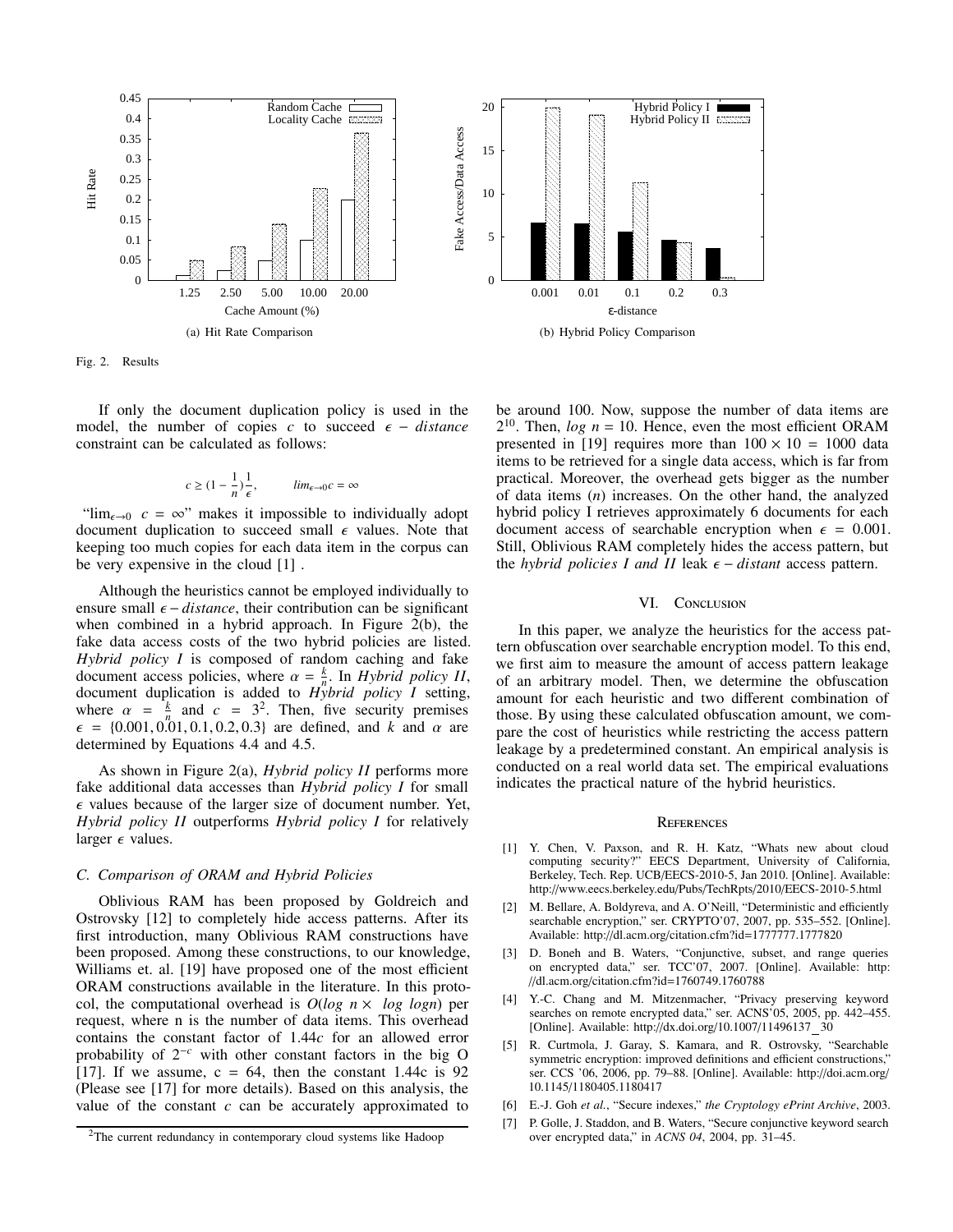



Fig. 2. Results

If only the document duplication policy is used in the model, the number of copies  $c$  to succeed  $\epsilon$  – *distance* constraint can be calculated as follows:

$$
c \ge (1 - \frac{1}{n})\frac{1}{\epsilon}, \qquad \lim_{\epsilon \to 0} c = \infty
$$

" $\lim_{\epsilon \to 0} c = \infty$ " makes it impossible to individually adopt document duplication to succeed small  $\epsilon$  values. Note that keeping too much copies for each data item in the corpus can be very expensive in the cloud [1] .

Although the heuristics cannot be employed individually to ensure small  $\epsilon$  – *distance*, their contribution can be significant when combined in a hybrid approach. In Figure 2(b), the fake data access costs of the two hybrid policies are listed. *Hybrid policy I* is composed of random caching and fake document access policies, where  $\alpha = \frac{k}{n}$ . In *Hybrid policy II*, document duplication is added to *Hybrid policy I* setting, where  $\alpha = \frac{k}{n}$  and  $c = 3^2$ . Then, five security premises  $\epsilon = \{0.001, 0.01, 0.1, 0.2, 0.3\}$  are defined, and *k* and  $\alpha$  are determined by Equations 4.4 and 4.5.

As shown in Figure 2(a), *Hybrid policy II* performs more fake additional data accesses than *Hybrid policy I* for small  $\epsilon$  values because of the larger size of document number. Yet, *Hybrid policy II* outperforms *Hybrid policy I* for relatively larger  $\epsilon$  values.

# *C. Comparison of ORAM and Hybrid Policies*

Oblivious RAM has been proposed by Goldreich and Ostrovsky [12] to completely hide access patterns. After its first introduction, many Oblivious RAM constructions have been proposed. Among these constructions, to our knowledge, Williams et. al. [19] have proposed one of the most efficient ORAM constructions available in the literature. In this protocol, the computational overhead is  $O(log n \times log log n)$  per request, where n is the number of data items. This overhead contains the constant factor of 1.44*c* for an allowed error probability of 2<sup>−</sup>*<sup>c</sup>* with other constant factors in the big O [17]. If we assume,  $c = 64$ , then the constant 1.44c is 92 (Please see [17] for more details). Based on this analysis, the value of the constant *c* can be accurately approximated to be around 100. Now, suppose the number of data items are  $2^{10}$ . Then,  $log n = 10$ . Hence, even the most efficient ORAM presented in [19] requires more than  $100 \times 10 = 1000$  data items to be retrieved for a single data access, which is far from practical. Moreover, the overhead gets bigger as the number of data items (*n*) increases. On the other hand, the analyzed hybrid policy I retrieves approximately 6 documents for each document access of searchable encryption when  $\epsilon = 0.001$ . Still, Oblivious RAM completely hides the access pattern, but the *hybrid policies I and II* leak  $\epsilon$  – *distant* access pattern.

#### VI. CONCLUSION

In this paper, we analyze the heuristics for the access pattern obfuscation over searchable encryption model. To this end, we first aim to measure the amount of access pattern leakage of an arbitrary model. Then, we determine the obfuscation amount for each heuristic and two different combination of those. By using these calculated obfuscation amount, we compare the cost of heuristics while restricting the access pattern leakage by a predetermined constant. An empirical analysis is conducted on a real world data set. The empirical evaluations indicates the practical nature of the hybrid heuristics.

#### **REFERENCES**

- [1] Y. Chen, V. Paxson, and R. H. Katz, "Whats new about cloud computing security?" EECS Department, University of California, Berkeley, Tech. Rep. UCB/EECS-2010-5, Jan 2010. [Online]. Available: http://www.eecs.berkeley.edu/Pubs/TechRpts/2010/EECS-2010-5.html
- [2] M. Bellare, A. Boldyreva, and A. O'Neill, "Deterministic and efficiently searchable encryption," ser. CRYPTO'07, 2007, pp. 535–552. [Online]. Available: http://dl.acm.org/citation.cfm?id=1777777.1777820
- [3] D. Boneh and B. Waters, "Conjunctive, subset, and range queries on encrypted data," ser. TCC'07, 2007. [Online]. Available: http: //dl.acm.org/citation.cfm?id=1760749.1760788
- [4] Y.-C. Chang and M. Mitzenmacher, "Privacy preserving keyword searches on remote encrypted data," ser. ACNS'05, 2005, pp. 442-455. [Online]. Available: http://dx.doi.org/10.1007/11496137\_30
- [5] R. Curtmola, J. Garay, S. Kamara, and R. Ostrovsky, "Searchable symmetric encryption: improved definitions and efficient constructions," ser. CCS '06, 2006, pp. 79–88. [Online]. Available: http://doi.acm.org/ 10.1145/1180405.1180417
- [6] E.-J. Goh *et al.*, "Secure indexes," *the Cryptology ePrint Archive*, 2003.
- [7] P. Golle, J. Staddon, and B. Waters, "Secure conjunctive keyword search over encrypted data," in *ACNS 04*, 2004, pp. 31–45.

<sup>2</sup>The current redundancy in contemporary cloud systems like Hadoop